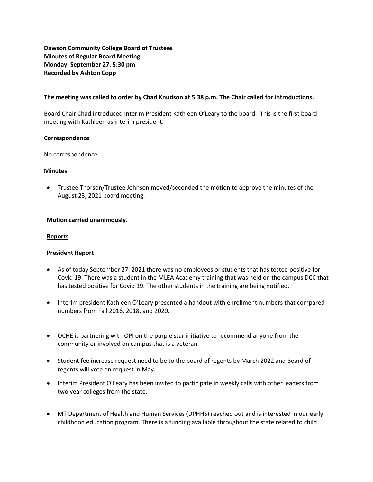**Dawson Community College Board of Trustees Minutes of Regular Board Meeting Monday, September 27, 5:30 pm Recorded by Ashton Copp** 

## **The meeting was called to order by Chad Knudson at 5:38 p.m. The Chair called for introductions.**

Board Chair Chad introduced Interim President Kathleen O'Leary to the board. This is the first board meeting with Kathleen as interim president.

## **Correspondence**

No correspondence

## **Minutes**

• Trustee Thorson/Trustee Johnson moved/seconded the motion to approve the minutes of the August 23, 2021 board meeting.

# **Motion carried unanimously.**

#### **Reports**

# **President Report**

- As of today September 27, 2021 there was no employees or students that has tested positive for Covid 19. There was a student in the MLEA Academy training that was held on the campus DCC that has tested positive for Covid 19. The other students in the training are being notified.
- Interim president Kathleen O'Leary presented a handout with enrollment numbers that compared numbers from Fall 2016, 2018, and 2020.
- OCHE is partnering with OPI on the purple star initiative to recommend anyone from the community or involved on campus that is a veteran.
- Student fee increase request need to be to the board of regents by March 2022 and Board of regents will vote on request in May.
- Interim President O'Leary has been invited to participate in weekly calls with other leaders from two year colleges from the state.
- MT Department of Health and Human Services (DPHHS) reached out and is interested in our early childhood education program. There is a funding available throughout the state related to child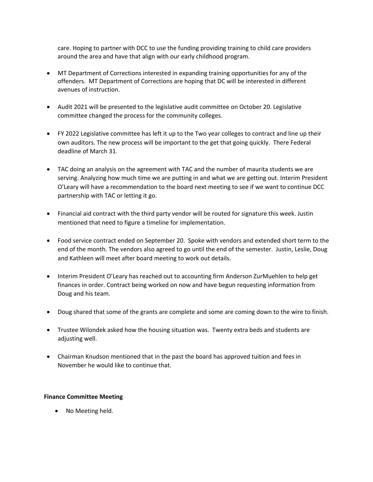care. Hoping to partner with DCC to use the funding providing training to child care providers around the area and have that align with our early childhood program.

- MT Department of Corrections interested in expanding training opportunities for any of the offenders. MT Department of Corrections are hoping that DC will be interested in different avenues of instruction.
- Audit 2021 will be presented to the legislative audit committee on October 20. Legislative committee changed the process for the community colleges.
- FY 2022 Legislative committee has left it up to the Two year colleges to contract and line up their own auditors. The new process will be important to the get that going quickly. There Federal deadline of March 31.
- TAC doing an analysis on the agreement with TAC and the number of maurita students we are serving. Analyzing how much time we are putting in and what we are getting out. Interim President O'Leary will have a recommendation to the board next meeting to see if we want to continue DCC partnership with TAC or letting it go.
- Financial aid contract with the third party vendor will be routed for signature this week. Justin mentioned that need to figure a timeline for implementation.
- Food service contract ended on September 20. Spoke with vendors and extended short term to the end of the month. The vendors also agreed to go until the end of the semester. Justin, Leslie, Doug and Kathleen will meet after board meeting to work out details.
- Interim President O'Leary has reached out to accounting firm Anderson ZurMuehlen to help get finances in order. Contract being worked on now and have begun requesting information from Doug and his team.
- Doug shared that some of the grants are complete and some are coming down to the wire to finish.
- Trustee Wilondek asked how the housing situation was. Twenty extra beds and students are adjusting well.
- Chairman Knudson mentioned that in the past the board has approved tuition and fees in November he would like to continue that.

# **Finance Committee Meeting**

• No Meeting held.